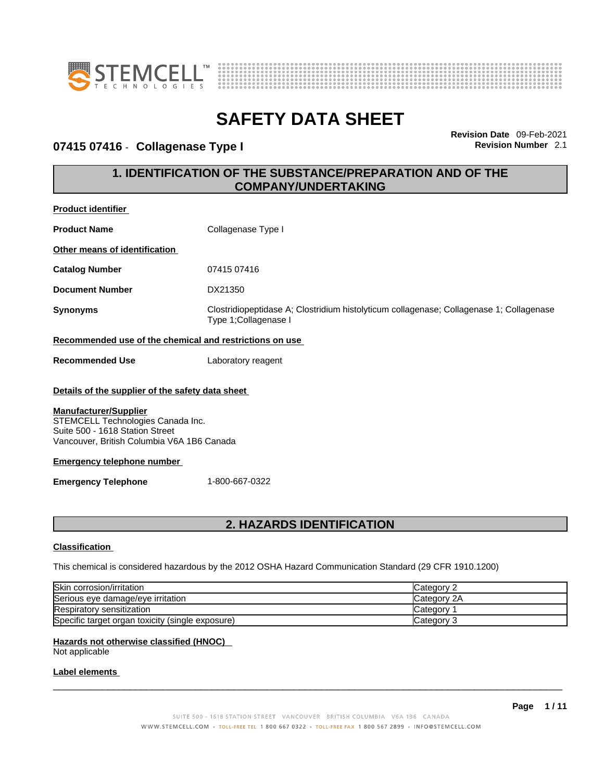



## **07415 07416** - **Collagenase Type I Revision Number** 2.1

**Revision Date** 09-Feb-2021

## **1. IDENTIFICATION OF THE SUBSTANCE/PREPARATION AND OF THE COMPANY/UNDERTAKING**

| <b>Product identifier</b>                                                                                                                                                                                                                                                                   |                                                                                                                  |  |
|---------------------------------------------------------------------------------------------------------------------------------------------------------------------------------------------------------------------------------------------------------------------------------------------|------------------------------------------------------------------------------------------------------------------|--|
| <b>Product Name</b>                                                                                                                                                                                                                                                                         | Collagenase Type I                                                                                               |  |
| Other means of identification                                                                                                                                                                                                                                                               |                                                                                                                  |  |
| <b>Catalog Number</b>                                                                                                                                                                                                                                                                       | 07415 07416                                                                                                      |  |
| <b>Document Number</b>                                                                                                                                                                                                                                                                      | DX21350                                                                                                          |  |
| <b>Synonyms</b>                                                                                                                                                                                                                                                                             | Clostridiopeptidase A; Clostridium histolyticum collagenase; Collagenase 1; Collagenase<br>Type 1; Collagenase I |  |
| Recommended use of the chemical and restrictions on use                                                                                                                                                                                                                                     |                                                                                                                  |  |
| <b>Recommended Use</b>                                                                                                                                                                                                                                                                      | Laboratory reagent                                                                                               |  |
| Details of the supplier of the safety data sheet<br><b>Manufacturer/Supplier</b><br>STEMCELL Technologies Canada Inc.<br>Suite 500 - 1618 Station Street<br>Vancouver, British Columbia V6A 1B6 Canada<br><b>Emergency telephone number</b><br><b>Emergency Telephone</b><br>1-800-667-0322 |                                                                                                                  |  |
| <b>2. HAZARDS IDENTIFICATION</b>                                                                                                                                                                                                                                                            |                                                                                                                  |  |
| <b>Classification</b>                                                                                                                                                                                                                                                                       |                                                                                                                  |  |
| This chemical is considered hazardous by the 2012 OSHA Hazard Communication Standard (29 CFR 1910.1200)                                                                                                                                                                                     |                                                                                                                  |  |
| Skin corrosion/irritation<br>Category 2                                                                                                                                                                                                                                                     |                                                                                                                  |  |
| Category 2A<br>Serious eye damage/eye irritation                                                                                                                                                                                                                                            |                                                                                                                  |  |
| Respiratory sensitization<br>Category 1                                                                                                                                                                                                                                                     |                                                                                                                  |  |
| Category 3                                                                                                                                                                                                                                                                                  |                                                                                                                  |  |
| Specific target organ toxicity (single exposure)                                                                                                                                                                                                                                            |                                                                                                                  |  |

## **Hazards not otherwise classified (HNOC)**

Not applicable

### **Label elements**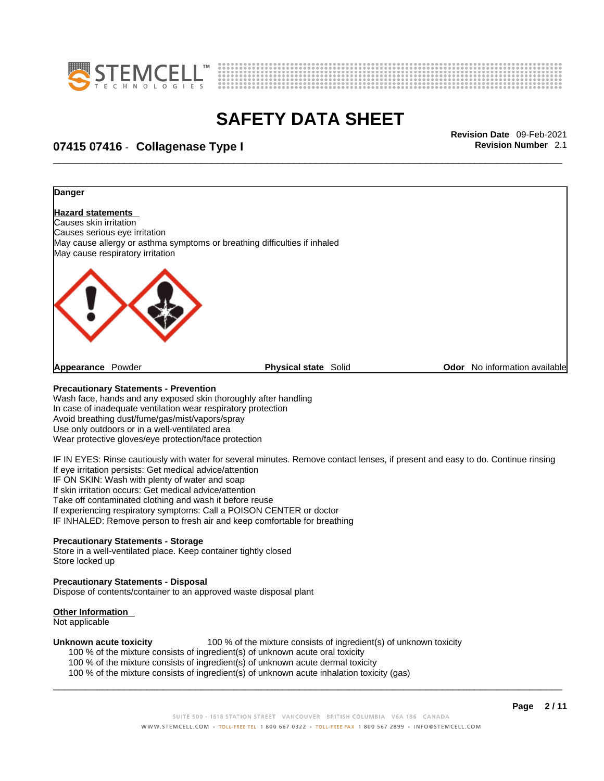



# \_\_\_\_\_\_\_\_\_\_\_\_\_\_\_\_\_\_\_\_\_\_\_\_\_\_\_\_\_\_\_\_\_\_\_\_\_\_\_\_\_\_\_\_\_\_\_\_\_\_\_\_\_\_\_\_\_\_\_\_\_\_\_\_\_\_\_\_\_\_\_\_\_\_\_\_\_\_\_\_\_\_\_\_\_\_\_\_\_\_\_\_\_ **Revision Date** 09-Feb-2021 **07415 07416** - **Collagenase Type I Revision Number** 2.1



Take off contaminated clothing and wash it before reuse

If experiencing respiratory symptoms: Call a POISON CENTER or doctor

IF INHALED: Remove person to fresh air and keep comfortable for breathing

#### **Precautionary Statements - Storage**

Store in a well-ventilated place. Keep container tightly closed Store locked up

#### **Precautionary Statements - Disposal**

Dispose of contents/container to an approved waste disposal plant

#### **Other Information**

Not applicable

**Unknown acute toxicity** 100 % of the mixture consists of ingredient(s) of unknown toxicity

100 % of the mixture consists of ingredient(s) of unknown acute oral toxicity

100 % of the mixture consists of ingredient(s) of unknown acute dermal toxicity

100 % of the mixture consists of ingredient(s) of unknown acute inhalation toxicity (gas)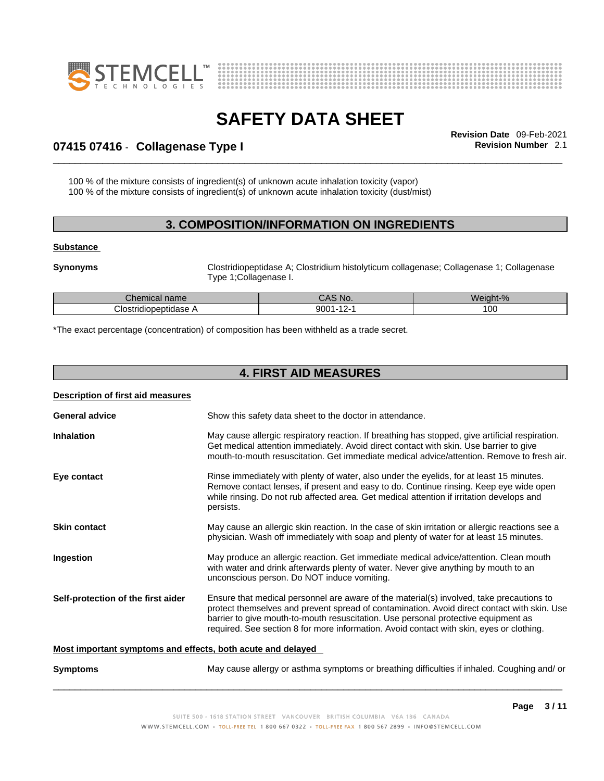



# \_\_\_\_\_\_\_\_\_\_\_\_\_\_\_\_\_\_\_\_\_\_\_\_\_\_\_\_\_\_\_\_\_\_\_\_\_\_\_\_\_\_\_\_\_\_\_\_\_\_\_\_\_\_\_\_\_\_\_\_\_\_\_\_\_\_\_\_\_\_\_\_\_\_\_\_\_\_\_\_\_\_\_\_\_\_\_\_\_\_\_\_\_ **Revision Date** 09-Feb-2021 **07415 07416** - **Collagenase Type I Revision Number** 2.1

100 % of the mixture consists of ingredient(s) of unknown acute inhalation toxicity (vapor) 100 % of the mixture consists of ingredient(s) of unknown acute inhalation toxicity (dust/mist)

## **3. COMPOSITION/INFORMATION ON INGREDIENTS**

#### **Substance**

**Synonyms Clostridiopeptidase A**; Clostridium histolyticum collagenase; Collagenase 1; Collagenase Type 1;Collagenase I.

| <b>Chemical name</b>      | MO.<br>uru         | $\ddot{\phantom{1}}$<br>$\sim$<br>Weight-% |
|---------------------------|--------------------|--------------------------------------------|
| Clostridi<br>liopeptidase | 9001<br>. .<br>. . | $\sim$<br>v                                |

\*The exact percentage (concentration) of composition has been withheld as a trade secret.

## **4. FIRST AID MEASURES**

| Description of first aid measures                           |                                                                                                                                                                                                                                                                                                                                                                           |  |
|-------------------------------------------------------------|---------------------------------------------------------------------------------------------------------------------------------------------------------------------------------------------------------------------------------------------------------------------------------------------------------------------------------------------------------------------------|--|
| <b>General advice</b>                                       | Show this safety data sheet to the doctor in attendance.                                                                                                                                                                                                                                                                                                                  |  |
| <b>Inhalation</b>                                           | May cause allergic respiratory reaction. If breathing has stopped, give artificial respiration.<br>Get medical attention immediately. Avoid direct contact with skin. Use barrier to give<br>mouth-to-mouth resuscitation. Get immediate medical advice/attention. Remove to fresh air.                                                                                   |  |
| Eye contact                                                 | Rinse immediately with plenty of water, also under the eyelids, for at least 15 minutes.<br>Remove contact lenses, if present and easy to do. Continue rinsing. Keep eye wide open<br>while rinsing. Do not rub affected area. Get medical attention if irritation develops and<br>persists.                                                                              |  |
| <b>Skin contact</b>                                         | May cause an allergic skin reaction. In the case of skin irritation or allergic reactions see a<br>physician. Wash off immediately with soap and plenty of water for at least 15 minutes.                                                                                                                                                                                 |  |
| Ingestion                                                   | May produce an allergic reaction. Get immediate medical advice/attention. Clean mouth<br>with water and drink afterwards plenty of water. Never give anything by mouth to an<br>unconscious person. Do NOT induce vomiting.                                                                                                                                               |  |
| Self-protection of the first aider                          | Ensure that medical personnel are aware of the material(s) involved, take precautions to<br>protect themselves and prevent spread of contamination. Avoid direct contact with skin. Use<br>barrier to give mouth-to-mouth resuscitation. Use personal protective equipment as<br>required. See section 8 for more information. Avoid contact with skin, eyes or clothing. |  |
| Most important symptoms and effects, both acute and delayed |                                                                                                                                                                                                                                                                                                                                                                           |  |
| <b>Symptoms</b>                                             | May cause allergy or asthma symptoms or breathing difficulties if inhaled. Coughing and/ or                                                                                                                                                                                                                                                                               |  |
|                                                             |                                                                                                                                                                                                                                                                                                                                                                           |  |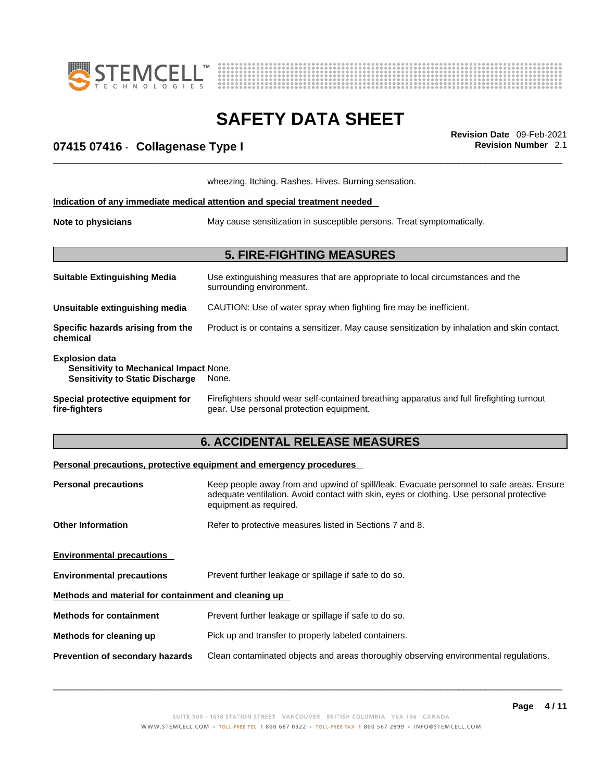



# \_\_\_\_\_\_\_\_\_\_\_\_\_\_\_\_\_\_\_\_\_\_\_\_\_\_\_\_\_\_\_\_\_\_\_\_\_\_\_\_\_\_\_\_\_\_\_\_\_\_\_\_\_\_\_\_\_\_\_\_\_\_\_\_\_\_\_\_\_\_\_\_\_\_\_\_\_\_\_\_\_\_\_\_\_\_\_\_\_\_\_\_\_ **Revision Date** 09-Feb-2021 **07415 07416** - **Collagenase Type I Revision Number** 2.1

|                                                                                                                  | wheezing. Itching. Rashes. Hives. Burning sensation.                                                                                  |  |
|------------------------------------------------------------------------------------------------------------------|---------------------------------------------------------------------------------------------------------------------------------------|--|
|                                                                                                                  | Indication of any immediate medical attention and special treatment needed                                                            |  |
| Note to physicians                                                                                               | May cause sensitization in susceptible persons. Treat symptomatically.                                                                |  |
|                                                                                                                  | <b>5. FIRE-FIGHTING MEASURES</b>                                                                                                      |  |
| <b>Suitable Extinguishing Media</b>                                                                              | Use extinguishing measures that are appropriate to local circumstances and the<br>surrounding environment.                            |  |
| Unsuitable extinguishing media                                                                                   | CAUTION: Use of water spray when fighting fire may be inefficient.                                                                    |  |
| Specific hazards arising from the<br>chemical                                                                    | Product is or contains a sensitizer. May cause sensitization by inhalation and skin contact.                                          |  |
| <b>Explosion data</b><br><b>Sensitivity to Mechanical Impact None.</b><br><b>Sensitivity to Static Discharge</b> | None.                                                                                                                                 |  |
| Special protective equipment for<br>fire-fighters                                                                | Firefighters should wear self-contained breathing apparatus and full firefighting turnout<br>gear. Use personal protection equipment. |  |

# **6. ACCIDENTAL RELEASE MEASURES**

#### **Personal precautions, protective equipment and emergency procedures**

| <b>Personal precautions</b>                          | Keep people away from and upwind of spill/leak. Evacuate personnel to safe areas. Ensure                           |  |
|------------------------------------------------------|--------------------------------------------------------------------------------------------------------------------|--|
|                                                      | adequate ventilation. Avoid contact with skin, eyes or clothing. Use personal protective<br>equipment as required. |  |
| <b>Other Information</b>                             | Refer to protective measures listed in Sections 7 and 8.                                                           |  |
| <b>Environmental precautions</b>                     |                                                                                                                    |  |
| <b>Environmental precautions</b>                     | Prevent further leakage or spillage if safe to do so.                                                              |  |
| Methods and material for containment and cleaning up |                                                                                                                    |  |
| <b>Methods for containment</b>                       | Prevent further leakage or spillage if safe to do so.                                                              |  |
| Methods for cleaning up                              | Pick up and transfer to properly labeled containers.                                                               |  |
| Prevention of secondary hazards                      | Clean contaminated objects and areas thoroughly observing environmental regulations.                               |  |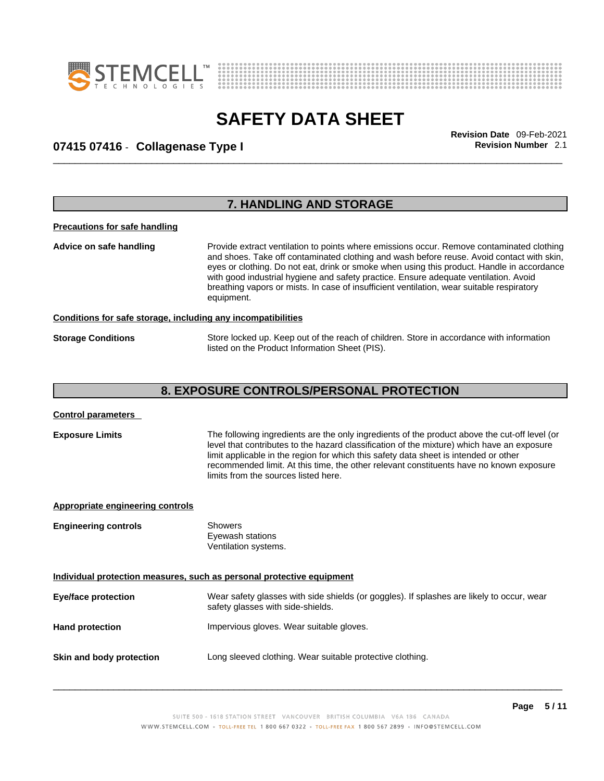



# \_\_\_\_\_\_\_\_\_\_\_\_\_\_\_\_\_\_\_\_\_\_\_\_\_\_\_\_\_\_\_\_\_\_\_\_\_\_\_\_\_\_\_\_\_\_\_\_\_\_\_\_\_\_\_\_\_\_\_\_\_\_\_\_\_\_\_\_\_\_\_\_\_\_\_\_\_\_\_\_\_\_\_\_\_\_\_\_\_\_\_\_\_ **Revision Date** 09-Feb-2021 **07415 07416** - **Collagenase Type I Revision Number** 2.1

|                                                              | 7. HANDLING AND STORAGE                                                                                                                                                                                                                                                                                                                                                                                                                                                                 |
|--------------------------------------------------------------|-----------------------------------------------------------------------------------------------------------------------------------------------------------------------------------------------------------------------------------------------------------------------------------------------------------------------------------------------------------------------------------------------------------------------------------------------------------------------------------------|
| <b>Precautions for safe handling</b>                         |                                                                                                                                                                                                                                                                                                                                                                                                                                                                                         |
| Advice on safe handling                                      | Provide extract ventilation to points where emissions occur. Remove contaminated clothing<br>and shoes. Take off contaminated clothing and wash before reuse. Avoid contact with skin,<br>eyes or clothing. Do not eat, drink or smoke when using this product. Handle in accordance<br>with good industrial hygiene and safety practice. Ensure adequate ventilation. Avoid<br>breathing vapors or mists. In case of insufficient ventilation, wear suitable respiratory<br>equipment. |
| Conditions for safe storage, including any incompatibilities |                                                                                                                                                                                                                                                                                                                                                                                                                                                                                         |
| <b>Storage Conditions</b>                                    | Store locked up. Keep out of the reach of children. Store in accordance with information<br>listed on the Product Information Sheet (PIS).                                                                                                                                                                                                                                                                                                                                              |
|                                                              | <b>8. EXPOSURE CONTROLS/PERSONAL PROTECTION</b>                                                                                                                                                                                                                                                                                                                                                                                                                                         |

| <b>Exposure Limits</b> | The following ingredients are the only ingredients of the product above the cut-off level (or |
|------------------------|-----------------------------------------------------------------------------------------------|
|                        | level that contributes to the hazard classification of the mixture) which have an exposure    |
|                        | limit applicable in the region for which this safety data sheet is intended or other          |
|                        | recommended limit. At this time, the other relevant constituents have no known exposure       |
|                        | limits from the sources listed here.                                                          |
|                        |                                                                                               |

| Appropriate engineering controls |                                                                                                                                |  |  |
|----------------------------------|--------------------------------------------------------------------------------------------------------------------------------|--|--|
| <b>Engineering controls</b>      | <b>Showers</b><br>Eyewash stations<br>Ventilation systems.                                                                     |  |  |
|                                  | Individual protection measures, such as personal protective equipment                                                          |  |  |
| <b>Eye/face protection</b>       | Wear safety glasses with side shields (or goggles). If splashes are likely to occur, wear<br>safety glasses with side-shields. |  |  |
| <b>Hand protection</b>           | Impervious gloves. Wear suitable gloves.                                                                                       |  |  |
| Skin and body protection         | Long sleeved clothing. Wear suitable protective clothing.                                                                      |  |  |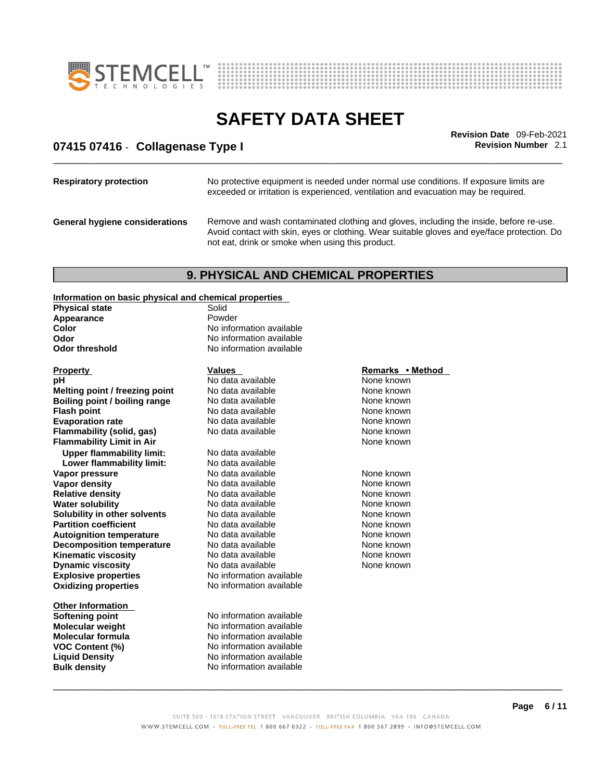



# \_\_\_\_\_\_\_\_\_\_\_\_\_\_\_\_\_\_\_\_\_\_\_\_\_\_\_\_\_\_\_\_\_\_\_\_\_\_\_\_\_\_\_\_\_\_\_\_\_\_\_\_\_\_\_\_\_\_\_\_\_\_\_\_\_\_\_\_\_\_\_\_\_\_\_\_\_\_\_\_\_\_\_\_\_\_\_\_\_\_\_\_\_ **Revision Date** 09-Feb-2021 **07415 07416** - **Collagenase Type I Revision Number** 2.1

| <b>Respiratory protection</b>         | No protective equipment is needed under normal use conditions. If exposure limits are<br>exceeded or irritation is experienced, ventilation and evacuation may be required.                                                               |
|---------------------------------------|-------------------------------------------------------------------------------------------------------------------------------------------------------------------------------------------------------------------------------------------|
| <b>General hygiene considerations</b> | Remove and wash contaminated clothing and gloves, including the inside, before re-use.<br>Avoid contact with skin, eyes or clothing. Wear suitable gloves and eye/face protection. Do<br>not eat, drink or smoke when using this product. |

## **9. PHYSICAL AND CHEMICAL PROPERTIES**

## **Information on basic physical and chemical properties**

| <u>INTO Mation on basic privated and chemical properties</u> |                          |                  |
|--------------------------------------------------------------|--------------------------|------------------|
| <b>Physical state</b>                                        | Solid                    |                  |
| Appearance                                                   | Powder                   |                  |
| Color                                                        | No information available |                  |
| Odor                                                         | No information available |                  |
| <b>Odor threshold</b>                                        | No information available |                  |
| <b>Property</b>                                              | <b>Values</b>            | Remarks • Method |
| рH                                                           | No data available        | None known       |
| Melting point / freezing point                               | No data available        | None known       |
| Boiling point / boiling range                                | No data available        | None known       |
| <b>Flash point</b>                                           | No data available        | None known       |
| <b>Evaporation rate</b>                                      | No data available        | None known       |
| Flammability (solid, gas)                                    | No data available        | None known       |
| <b>Flammability Limit in Air</b>                             |                          | None known       |
| <b>Upper flammability limit:</b>                             | No data available        |                  |
| Lower flammability limit:                                    | No data available        |                  |
| Vapor pressure                                               | No data available        | None known       |
| <b>Vapor density</b>                                         | No data available        | None known       |
| <b>Relative density</b>                                      | No data available        | None known       |
| <b>Water solubility</b>                                      | No data available        | None known       |
| Solubility in other solvents                                 | No data available        | None known       |
| <b>Partition coefficient</b>                                 | No data available        | None known       |
| <b>Autoignition temperature</b>                              | No data available        | None known       |
| <b>Decomposition temperature</b>                             | No data available        | None known       |
| <b>Kinematic viscosity</b>                                   | No data available        | None known       |
| <b>Dynamic viscosity</b>                                     | No data available        | None known       |
| <b>Explosive properties</b>                                  | No information available |                  |
| <b>Oxidizing properties</b>                                  | No information available |                  |
| <b>Other Information</b>                                     |                          |                  |
| Softening point                                              | No information available |                  |
| <b>Molecular weight</b>                                      | No information available |                  |
| <b>Molecular formula</b>                                     | No information available |                  |
| VOC Content (%)                                              | No information available |                  |
| <b>Liquid Density</b>                                        | No information available |                  |

**Liquid Density**<br> **Bulk density**<br> **Bulk density**<br> **Compare Server All Alternation available** 

 $\_$  ,  $\_$  ,  $\_$  ,  $\_$  ,  $\_$  ,  $\_$  ,  $\_$  ,  $\_$  ,  $\_$  ,  $\_$  ,  $\_$  ,  $\_$  ,  $\_$  ,  $\_$  ,  $\_$  ,  $\_$  ,  $\_$  ,  $\_$  ,  $\_$  ,  $\_$  ,  $\_$  ,  $\_$  ,  $\_$  ,  $\_$  ,  $\_$  ,  $\_$  ,  $\_$  ,  $\_$  ,  $\_$  ,  $\_$  ,  $\_$  ,  $\_$  ,  $\_$  ,  $\_$  ,  $\_$  ,  $\_$  ,  $\_$  ,

**No information available**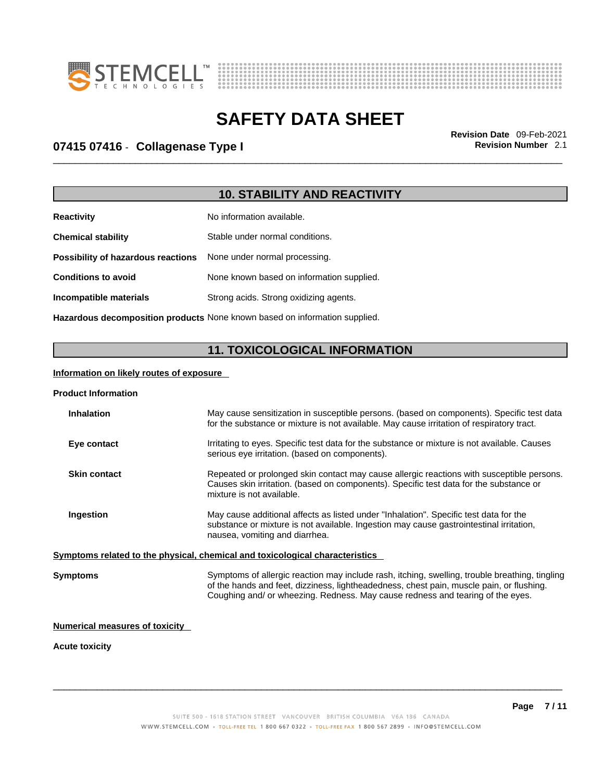



# \_\_\_\_\_\_\_\_\_\_\_\_\_\_\_\_\_\_\_\_\_\_\_\_\_\_\_\_\_\_\_\_\_\_\_\_\_\_\_\_\_\_\_\_\_\_\_\_\_\_\_\_\_\_\_\_\_\_\_\_\_\_\_\_\_\_\_\_\_\_\_\_\_\_\_\_\_\_\_\_\_\_\_\_\_\_\_\_\_\_\_\_\_ **Revision Date** 09-Feb-2021 **07415 07416** - **Collagenase Type I Revision Number** 2.1

# **10. STABILITY AND REACTIVITY**

| <b>Reactivity</b>                                                       | No information available.                 |
|-------------------------------------------------------------------------|-------------------------------------------|
| <b>Chemical stability</b>                                               | Stable under normal conditions.           |
| <b>Possibility of hazardous reactions</b> None under normal processing. |                                           |
| <b>Conditions to avoid</b>                                              | None known based on information supplied. |
| Incompatible materials                                                  | Strong acids. Strong oxidizing agents.    |
|                                                                         |                                           |

**Hazardous decomposition products** None known based on information supplied.

## **11. TOXICOLOGICAL INFORMATION**

#### **Information on likely routes of exposure**

#### **Product Information**

| <b>Inhalation</b> |                                                                              | May cause sensitization in susceptible persons. (based on components). Specific test data<br>for the substance or mixture is not available. May cause irritation of respiratory tract.                                                                                       |  |
|-------------------|------------------------------------------------------------------------------|------------------------------------------------------------------------------------------------------------------------------------------------------------------------------------------------------------------------------------------------------------------------------|--|
| Eye contact       |                                                                              | Irritating to eyes. Specific test data for the substance or mixture is not available. Causes<br>serious eye irritation. (based on components).                                                                                                                               |  |
|                   | <b>Skin contact</b>                                                          | Repeated or prolonged skin contact may cause allergic reactions with susceptible persons.<br>Causes skin irritation. (based on components). Specific test data for the substance or<br>mixture is not available.                                                             |  |
| Ingestion         |                                                                              | May cause additional affects as listed under "Inhalation". Specific test data for the<br>substance or mixture is not available. Ingestion may cause gastrointestinal irritation,<br>nausea, vomiting and diarrhea.                                                           |  |
|                   | Symptoms related to the physical, chemical and toxicological characteristics |                                                                                                                                                                                                                                                                              |  |
| Symptoms          |                                                                              | Symptoms of allergic reaction may include rash, itching, swelling, trouble breathing, tingling<br>of the hands and feet, dizziness, lightheadedness, chest pain, muscle pain, or flushing.<br>Coughing and/ or wheezing. Redness. May cause redness and tearing of the eyes. |  |

#### **Numerical measures of toxicity**

#### **Acute toxicity**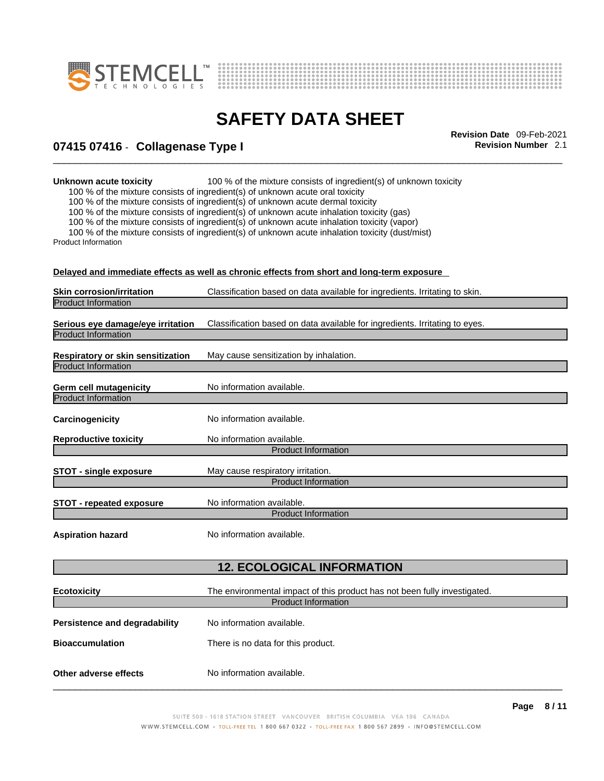



# \_\_\_\_\_\_\_\_\_\_\_\_\_\_\_\_\_\_\_\_\_\_\_\_\_\_\_\_\_\_\_\_\_\_\_\_\_\_\_\_\_\_\_\_\_\_\_\_\_\_\_\_\_\_\_\_\_\_\_\_\_\_\_\_\_\_\_\_\_\_\_\_\_\_\_\_\_\_\_\_\_\_\_\_\_\_\_\_\_\_\_\_\_ **Revision Date** 09-Feb-2021 **07415 07416** - **Collagenase Type I Revision Number** 2.1

**Unknown acute toxicity** 100 % of the mixture consists of ingredient(s) of unknown toxicity

100 % of the mixture consists of ingredient(s) of unknown acute oral toxicity

100 % of the mixture consists of ingredient(s) of unknown acute dermal toxicity

100 % of the mixture consists of ingredient(s) of unknown acute inhalation toxicity (gas)

100 % of the mixture consists of ingredient(s) of unknown acute inhalation toxicity (vapor)

100 % of the mixture consists of ingredient(s) of unknown acute inhalation toxicity (dust/mist) Product Information

**Delayed and immediate effects as well as chronic effects from short and long-term exposure**

|                                   | <u>Delayed and immediate enects as well as chronic enects from short and long-term exposure.</u> |
|-----------------------------------|--------------------------------------------------------------------------------------------------|
| <b>Skin corrosion/irritation</b>  | Classification based on data available for ingredients. Irritating to skin.                      |
| <b>Product Information</b>        |                                                                                                  |
|                                   |                                                                                                  |
| Serious eye damage/eye irritation | Classification based on data available for ingredients. Irritating to eyes.                      |
| <b>Product Information</b>        |                                                                                                  |
| Respiratory or skin sensitization | May cause sensitization by inhalation.                                                           |
| <b>Product Information</b>        |                                                                                                  |
|                                   |                                                                                                  |
| <b>Germ cell mutagenicity</b>     | No information available.                                                                        |
| <b>Product Information</b>        |                                                                                                  |
| Carcinogenicity                   | No information available.                                                                        |
|                                   |                                                                                                  |
| <b>Reproductive toxicity</b>      | No information available.                                                                        |
|                                   | <b>Product Information</b>                                                                       |
| <b>STOT - single exposure</b>     | May cause respiratory irritation.                                                                |
|                                   | <b>Product Information</b>                                                                       |
|                                   |                                                                                                  |
| <b>STOT - repeated exposure</b>   | No information available.                                                                        |
|                                   | <b>Product Information</b>                                                                       |
|                                   | No information available.                                                                        |
| <b>Aspiration hazard</b>          |                                                                                                  |
|                                   |                                                                                                  |
|                                   | <b>12. ECOLOGICAL INFORMATION</b>                                                                |
|                                   |                                                                                                  |
| <b>Ecotoxicity</b>                | The environmental impact of this product has not been fully investigated.                        |
|                                   | <b>Product Information</b>                                                                       |
| Persistence and degradability     | No information available.                                                                        |
|                                   |                                                                                                  |
| <b>Bioaccumulation</b>            | There is no data for this product.                                                               |
|                                   |                                                                                                  |
| Other adverse effects             | No information available.                                                                        |
|                                   |                                                                                                  |
|                                   |                                                                                                  |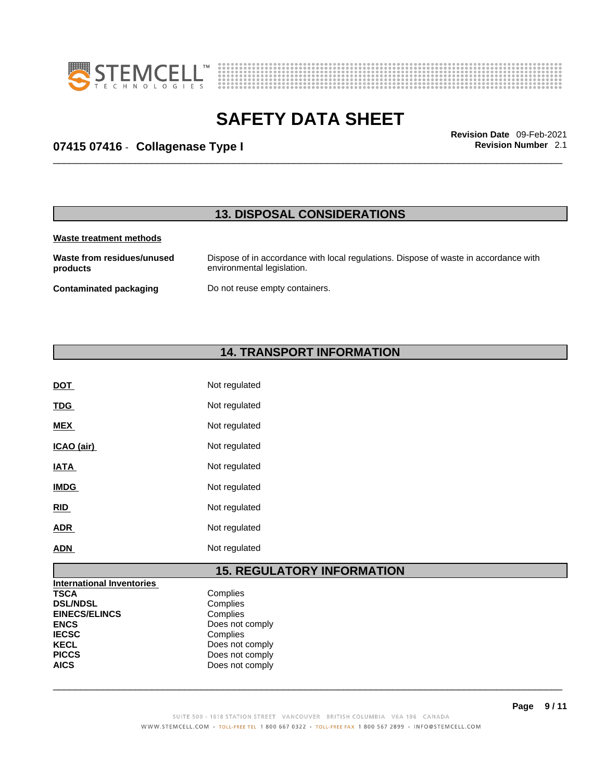



# \_\_\_\_\_\_\_\_\_\_\_\_\_\_\_\_\_\_\_\_\_\_\_\_\_\_\_\_\_\_\_\_\_\_\_\_\_\_\_\_\_\_\_\_\_\_\_\_\_\_\_\_\_\_\_\_\_\_\_\_\_\_\_\_\_\_\_\_\_\_\_\_\_\_\_\_\_\_\_\_\_\_\_\_\_\_\_\_\_\_\_\_\_ **Revision Date** 09-Feb-2021 **07415 07416** - **Collagenase Type I Revision Number** 2.1

## **13. DISPOSAL CONSIDERATIONS**

#### **Waste treatment methods**

**Waste from residues/unused products**  Dispose of in accordance with local regulations. Dispose of waste in accordance with environmental legislation. **Contaminated packaging** Do not reuse empty containers.

## **14. TRANSPORT INFORMATION**

| <b>DOT</b>  | Not regulated |
|-------------|---------------|
| <b>TDG</b>  | Not regulated |
| <b>MEX</b>  | Not regulated |
| ICAO (air)  | Not regulated |
| <b>IATA</b> | Not regulated |
| <b>IMDG</b> | Not regulated |
| <u>RID</u>  | Not regulated |
| <b>ADR</b>  | Not regulated |
| ADN         | Not regulated |
|             |               |

## **15. REGULATORY INFORMATION**

| <b>International Inventories</b> |                 |  |
|----------------------------------|-----------------|--|
| <b>TSCA</b>                      | Complies        |  |
| <b>DSL/NDSL</b>                  | Complies        |  |
| <b>EINECS/ELINCS</b>             | Complies        |  |
| <b>ENCS</b>                      | Does not comply |  |
| <b>IECSC</b>                     | Complies        |  |
| <b>KECL</b>                      | Does not comply |  |
| <b>PICCS</b>                     | Does not comply |  |
| <b>AICS</b>                      | Does not comply |  |
|                                  |                 |  |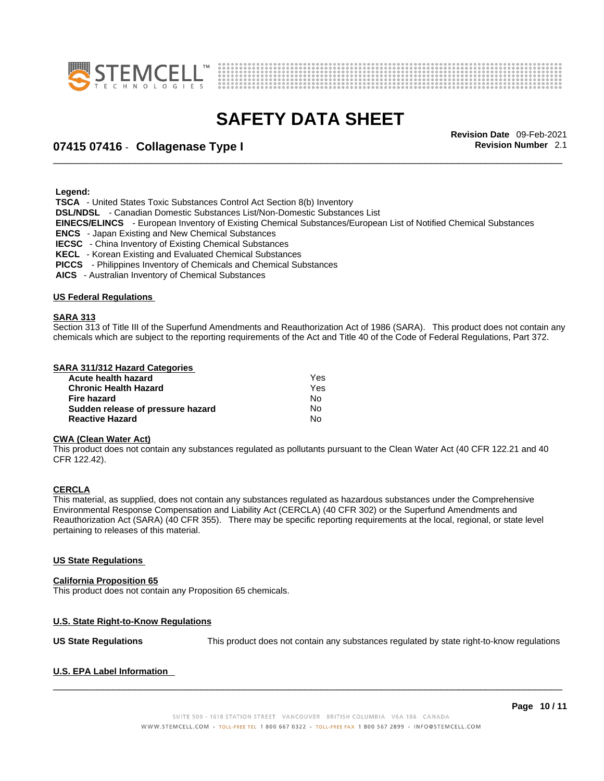



# \_\_\_\_\_\_\_\_\_\_\_\_\_\_\_\_\_\_\_\_\_\_\_\_\_\_\_\_\_\_\_\_\_\_\_\_\_\_\_\_\_\_\_\_\_\_\_\_\_\_\_\_\_\_\_\_\_\_\_\_\_\_\_\_\_\_\_\_\_\_\_\_\_\_\_\_\_\_\_\_\_\_\_\_\_\_\_\_\_\_\_\_\_ **Revision Date** 09-Feb-2021 **07415 07416** - **Collagenase Type I Revision Number** 2.1

 **Legend:** 

 **TSCA** - United States Toxic Substances Control Act Section 8(b) Inventory

 **DSL/NDSL** - Canadian Domestic Substances List/Non-Domestic Substances List

 **EINECS/ELINCS** - European Inventory of Existing Chemical Substances/European List of Notified Chemical Substances

 **ENCS** - Japan Existing and New Chemical Substances

 **IECSC** - China Inventory of Existing Chemical Substances

 **KECL** - Korean Existing and Evaluated Chemical Substances

 **PICCS** - Philippines Inventory of Chemicals and Chemical Substances

 **AICS** - Australian Inventory of Chemical Substances

#### **US Federal Regulations**

#### **SARA 313**

Section 313 of Title III of the Superfund Amendments and Reauthorization Act of 1986 (SARA). This product does not contain any chemicals which are subject to the reporting requirements of the Act and Title 40 of the Code of Federal Regulations, Part 372.

#### **SARA 311/312 Hazard Categories**

| Acute health hazard               | Yes |  |
|-----------------------------------|-----|--|
| <b>Chronic Health Hazard</b>      | Yes |  |
| Fire hazard                       | N٥  |  |
| Sudden release of pressure hazard | N٥  |  |
| <b>Reactive Hazard</b>            | N٥  |  |

#### **CWA (Clean WaterAct)**

This product does not contain any substances regulated as pollutants pursuant to the Clean Water Act (40 CFR 122.21 and 40 CFR 122.42).

#### **CERCLA**

This material, as supplied, does not contain any substances regulated as hazardous substances under the Comprehensive Environmental Response Compensation and Liability Act (CERCLA) (40 CFR 302) or the Superfund Amendments and Reauthorization Act (SARA) (40 CFR 355). There may be specific reporting requirements at the local, regional, or state level pertaining to releases of this material.

#### **US State Regulations**

#### **California Proposition 65**

This product does not contain any Proposition 65 chemicals.

#### **U.S. State Right-to-Know Regulations**

**US State Regulations** This product does not contain any substances regulated by state right-to-know regulations

#### **U.S. EPA Label Information**